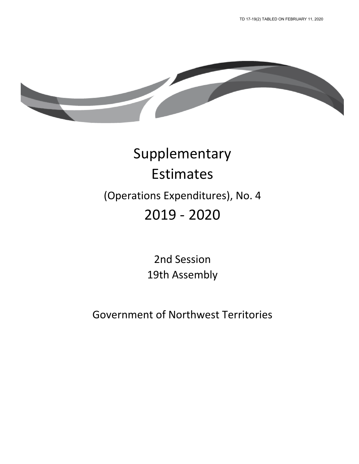

# Supplementary Estimates (Operations Expenditures), No. 4 2019 - 2020

2nd Session 19th Assembly

Government of Northwest Territories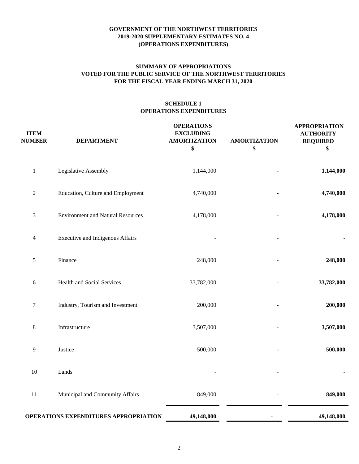# **FOR THE FISCAL YEAR ENDING MARCH 31, 2020 SUMMARY OF APPROPRIATIONS VOTED FOR THE PUBLIC SERVICE OF THE NORTHWEST TERRITORIES**

# **SCHEDULE 1 OPERATIONS EXPENDITURES**

| <b>ITEM</b><br><b>NUMBER</b> | <b>DEPARTMENT</b>                        | <b>OPERATIONS</b><br><b>EXCLUDING</b><br><b>AMORTIZATION</b><br>\$ | <b>AMORTIZATION</b><br>\$ | <b>APPROPRIATION</b><br><b>AUTHORITY</b><br><b>REQUIRED</b><br>\$ |
|------------------------------|------------------------------------------|--------------------------------------------------------------------|---------------------------|-------------------------------------------------------------------|
| $\mathbf{1}$                 | Legislative Assembly                     | 1,144,000                                                          |                           | 1,144,000                                                         |
| $\sqrt{2}$                   | Education, Culture and Employment        | 4,740,000                                                          |                           | 4,740,000                                                         |
| 3                            | <b>Environment and Natural Resources</b> | 4,178,000                                                          |                           | 4,178,000                                                         |
| 4                            | Executive and Indigenous Affairs         |                                                                    |                           |                                                                   |
| $\sqrt{5}$                   | Finance                                  | 248,000                                                            |                           | 248,000                                                           |
| $\sqrt{6}$                   | Health and Social Services               | 33,782,000                                                         |                           | 33,782,000                                                        |
| $\tau$                       | Industry, Tourism and Investment         | 200,000                                                            |                           | 200,000                                                           |
| $8\,$                        | Infrastructure                           | 3,507,000                                                          |                           | 3,507,000                                                         |
| $\overline{9}$               | Justice                                  | 500,000                                                            |                           | 500,000                                                           |
| 10                           | Lands                                    |                                                                    |                           |                                                                   |
| 11                           | Municipal and Community Affairs          | 849,000                                                            |                           | 849,000                                                           |
|                              | OPERATIONS EXPENDITURES APPROPRIATION    | 49,148,000                                                         |                           | 49,148,000                                                        |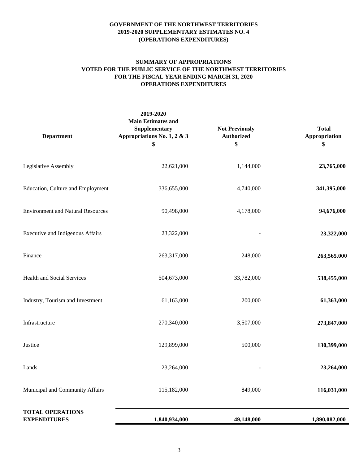# **SUMMARY OF APPROPRIATIONS VOTED FOR THE PUBLIC SERVICE OF THE NORTHWEST TERRITORIES FOR THE FISCAL YEAR ENDING MARCH 31, 2020 OPERATIONS EXPENDITURES**

| <b>Department</b>                              | 2019-2020<br><b>Main Estimates and</b><br>Supplementary<br>Appropriations No. 1, 2 & 3<br>\$ | <b>Not Previously</b><br><b>Authorized</b><br>\$ | <b>Total</b><br>Appropriation<br>\$ |
|------------------------------------------------|----------------------------------------------------------------------------------------------|--------------------------------------------------|-------------------------------------|
| Legislative Assembly                           | 22,621,000                                                                                   | 1,144,000                                        | 23,765,000                          |
| Education, Culture and Employment              | 336,655,000                                                                                  | 4,740,000                                        | 341,395,000                         |
| <b>Environment and Natural Resources</b>       | 90,498,000                                                                                   | 4,178,000                                        | 94,676,000                          |
| Executive and Indigenous Affairs               | 23,322,000                                                                                   |                                                  | 23,322,000                          |
| Finance                                        | 263,317,000                                                                                  | 248,000                                          | 263,565,000                         |
| Health and Social Services                     | 504,673,000                                                                                  | 33,782,000                                       | 538,455,000                         |
| Industry, Tourism and Investment               | 61,163,000                                                                                   | 200,000                                          | 61,363,000                          |
| Infrastructure                                 | 270,340,000                                                                                  | 3,507,000                                        | 273,847,000                         |
| Justice                                        | 129,899,000                                                                                  | 500,000                                          | 130,399,000                         |
| Lands                                          | 23,264,000                                                                                   |                                                  | 23,264,000                          |
| Municipal and Community Affairs                | 115,182,000                                                                                  | 849,000                                          | 116,031,000                         |
| <b>TOTAL OPERATIONS</b><br><b>EXPENDITURES</b> | 1,840,934,000                                                                                | 49,148,000                                       | 1,890,082,000                       |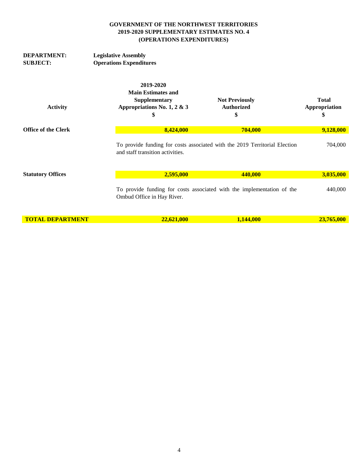| <b>DEPARTMENT:</b>         | <b>Legislative Assembly</b>                                                                  |                                                                            |                                     |  |  |
|----------------------------|----------------------------------------------------------------------------------------------|----------------------------------------------------------------------------|-------------------------------------|--|--|
| <b>SUBJECT:</b>            | <b>Operations Expenditures</b>                                                               |                                                                            |                                     |  |  |
| <b>Activity</b>            | 2019-2020<br><b>Main Estimates and</b><br>Supplementary<br>Appropriations No. 1, 2 & 3<br>\$ | <b>Not Previously</b><br><b>Authorized</b><br>\$                           | <b>Total</b><br>Appropriation<br>\$ |  |  |
| <b>Office of the Clerk</b> | 8,424,000                                                                                    | 704,000                                                                    | 9,128,000                           |  |  |
|                            | and staff transition activities.                                                             | To provide funding for costs associated with the 2019 Territorial Election | 704,000                             |  |  |
| <b>Statutory Offices</b>   | 2,595,000                                                                                    | 440,000                                                                    | 3,035,000                           |  |  |
|                            | Ombud Office in Hay River.                                                                   | To provide funding for costs associated with the implementation of the     | 440,000                             |  |  |
| <b>TOTAL DEPARTMENT</b>    | 22,621,000                                                                                   | 1,144,000                                                                  | 23,765,000                          |  |  |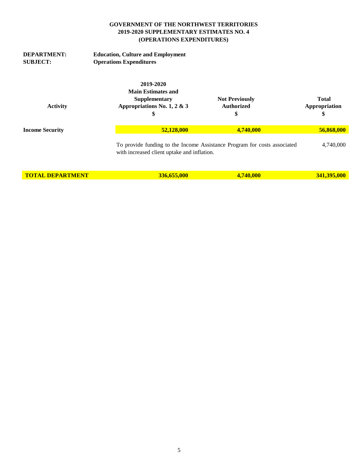| <b>DEPARTMENT:</b><br><b>SUBJECT:</b> | <b>Education, Culture and Employment</b><br><b>Operations Expenditures</b>                   |                                                                          |                                     |
|---------------------------------------|----------------------------------------------------------------------------------------------|--------------------------------------------------------------------------|-------------------------------------|
| <b>Activity</b>                       | 2019-2020<br><b>Main Estimates and</b><br>Supplementary<br>Appropriations No. 1, 2 & 3<br>\$ | <b>Not Previously</b><br><b>Authorized</b><br>\$                         | <b>Total</b><br>Appropriation<br>\$ |
| <b>Income Security</b>                | 52,128,000                                                                                   | 4,740,000                                                                | 56,868,000                          |
|                                       | with increased client uptake and inflation.                                                  | To provide funding to the Income Assistance Program for costs associated | 4,740,000                           |
| <b>TOTAL DEPARTMENT</b>               | 336,655,000                                                                                  | 4,740,000                                                                | 341,395,000                         |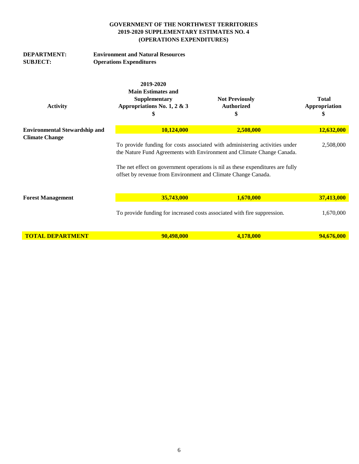| <b>DEPARTMENT:</b><br><b>SUBJECT:</b> | <b>Environment and Natural Resources</b><br><b>Operations Expenditures</b>                   |                                                                                                                                                                                                                                                                                                          |                                     |
|---------------------------------------|----------------------------------------------------------------------------------------------|----------------------------------------------------------------------------------------------------------------------------------------------------------------------------------------------------------------------------------------------------------------------------------------------------------|-------------------------------------|
| <b>Activity</b>                       | 2019-2020<br><b>Main Estimates and</b><br>Supplementary<br>Appropriations No. 1, 2 & 3<br>\$ | <b>Not Previously</b><br><b>Authorized</b><br>\$                                                                                                                                                                                                                                                         | <b>Total</b><br>Appropriation<br>\$ |
| <b>Environmental Stewardship and</b>  | 10,124,000                                                                                   | 2,508,000                                                                                                                                                                                                                                                                                                | 12,632,000                          |
| <b>Climate Change</b>                 |                                                                                              | To provide funding for costs associated with administering activities under<br>the Nature Fund Agreements with Environment and Climate Change Canada.<br>The net effect on government operations is nil as these expenditures are fully<br>offset by revenue from Environment and Climate Change Canada. |                                     |
| <b>Forest Management</b>              | 35,743,000                                                                                   | 1,670,000                                                                                                                                                                                                                                                                                                | 37,413,000                          |
|                                       |                                                                                              | To provide funding for increased costs associated with fire suppression.                                                                                                                                                                                                                                 | 1,670,000                           |
| <b>TOTAL DEPARTMENT</b>               | 90,498,000                                                                                   | 4,178,000                                                                                                                                                                                                                                                                                                | 94,676,000                          |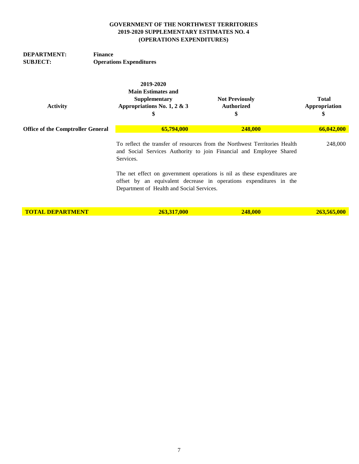| <b>DEPARTMENT:</b><br><b>SUBJECT:</b>    | <b>Finance</b><br><b>Operations Expenditures</b>                                             |                                                                                                                                                   |                                     |  |  |
|------------------------------------------|----------------------------------------------------------------------------------------------|---------------------------------------------------------------------------------------------------------------------------------------------------|-------------------------------------|--|--|
| <b>Activity</b>                          | 2019-2020<br><b>Main Estimates and</b><br>Supplementary<br>Appropriations No. 1, 2 & 3<br>\$ | <b>Not Previously</b><br><b>Authorized</b><br>\$                                                                                                  | <b>Total</b><br>Appropriation<br>\$ |  |  |
| <b>Office of the Comptroller General</b> | 65,794,000                                                                                   | 248,000                                                                                                                                           | 66,042,000                          |  |  |
|                                          | Services.                                                                                    | To reflect the transfer of resources from the Northwest Territories Health<br>and Social Services Authority to join Financial and Employee Shared | 248,000                             |  |  |
|                                          | Department of Health and Social Services.                                                    | The net effect on government operations is nil as these expenditures are<br>offset by an equivalent decrease in operations expenditures in the    |                                     |  |  |
| <b>TOTAL DEPARTMENT</b>                  | 263,317,000                                                                                  | 248,000                                                                                                                                           | 263,565,000                         |  |  |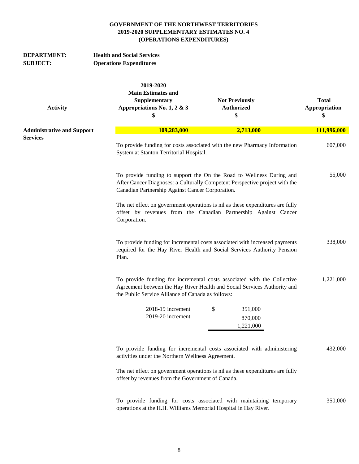| <b>DEPARTMENT:</b><br><b>SUBJECT:</b> | <b>Health and Social Services</b><br><b>Operations Expenditures</b>                                                                                                                                                   |                                     |  |
|---------------------------------------|-----------------------------------------------------------------------------------------------------------------------------------------------------------------------------------------------------------------------|-------------------------------------|--|
| <b>Activity</b>                       | 2019-2020<br><b>Main Estimates and</b><br>Supplementary<br><b>Not Previously</b><br>Appropriations No. 1, 2 & 3<br><b>Authorized</b><br>\$<br>\$                                                                      | <b>Total</b><br>Appropriation<br>\$ |  |
| <b>Administrative and Support</b>     | 109,283,000<br>2,713,000                                                                                                                                                                                              | 111,996,000                         |  |
| <b>Services</b>                       | To provide funding for costs associated with the new Pharmacy Information<br>System at Stanton Territorial Hospital.                                                                                                  | 607,000                             |  |
|                                       | To provide funding to support the On the Road to Wellness During and<br>After Cancer Diagnoses: a Culturally Competent Perspective project with the<br>Canadian Partnership Against Cancer Corporation.               | 55,000                              |  |
|                                       | The net effect on government operations is nil as these expenditures are fully<br>offset by revenues from the Canadian Partnership Against Cancer<br>Corporation.                                                     |                                     |  |
|                                       | To provide funding for incremental costs associated with increased payments<br>required for the Hay River Health and Social Services Authority Pension<br>Plan.                                                       | 338,000                             |  |
|                                       | To provide funding for incremental costs associated with the Collective<br>1,221,000<br>Agreement between the Hay River Health and Social Services Authority and<br>the Public Service Alliance of Canada as follows: |                                     |  |
|                                       | \$<br>2018-19 increment<br>351,000                                                                                                                                                                                    |                                     |  |
|                                       | 2019-20 increment<br>870,000<br>1,221,000                                                                                                                                                                             |                                     |  |
|                                       | To provide funding for incremental costs associated with administering<br>activities under the Northern Wellness Agreement.                                                                                           | 432,000                             |  |
|                                       | The net effect on government operations is nil as these expenditures are fully<br>offset by revenues from the Government of Canada.                                                                                   |                                     |  |
|                                       |                                                                                                                                                                                                                       |                                     |  |

 350,000 **12** To provide funding for costs associated with maintaining temporary operations at the H.H. Williams Memorial Hospital in Hay River.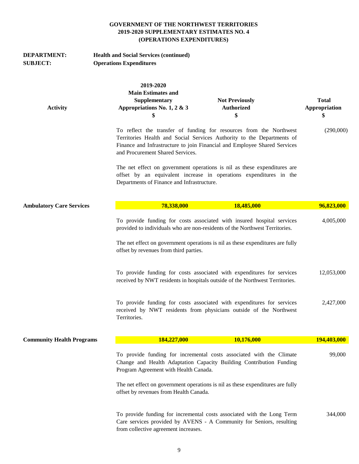| <b>DEPARTMENT:</b><br><b>SUBJECT:</b> | <b>Health and Social Services (continued)</b><br><b>Operations Expenditures</b>              |                                                                                                                                                                                                                                                                                   |                                     |  |  |
|---------------------------------------|----------------------------------------------------------------------------------------------|-----------------------------------------------------------------------------------------------------------------------------------------------------------------------------------------------------------------------------------------------------------------------------------|-------------------------------------|--|--|
| <b>Activity</b>                       | 2019-2020<br><b>Main Estimates and</b><br>Supplementary<br>Appropriations No. 1, 2 & 3<br>\$ | <b>Not Previously</b><br><b>Authorized</b><br>\$                                                                                                                                                                                                                                  | <b>Total</b><br>Appropriation<br>\$ |  |  |
|                                       | and Procurement Shared Services.                                                             | To reflect the transfer of funding for resources from the Northwest<br>Territories Health and Social Services Authority to the Departments of<br>Finance and Infrastructure to join Financial and Employee Shared Services                                                        | (290,000)                           |  |  |
|                                       | Departments of Finance and Infrastructure.                                                   | The net effect on government operations is nil as these expenditures are<br>offset by an equivalent increase in operations expenditures in the                                                                                                                                    |                                     |  |  |
| <b>Ambulatory Care Services</b>       | 78,338,000                                                                                   | 18,485,000                                                                                                                                                                                                                                                                        | 96,823,000                          |  |  |
|                                       |                                                                                              | To provide funding for costs associated with insured hospital services<br>provided to individuals who are non-residents of the Northwest Territories.<br>The net effect on government operations is nil as these expenditures are fully<br>offset by revenues from third parties. |                                     |  |  |
|                                       |                                                                                              | To provide funding for costs associated with expenditures for services<br>received by NWT residents in hospitals outside of the Northwest Territories.                                                                                                                            | 12,053,000                          |  |  |
|                                       | Territories.                                                                                 | To provide funding for costs associated with expenditures for services<br>received by NWT residents from physicians outside of the Northwest                                                                                                                                      | 2,427,000                           |  |  |
| <b>Community Health Programs</b>      | 184,227,000                                                                                  | 10,176,000                                                                                                                                                                                                                                                                        | 194,403,000                         |  |  |
|                                       | Program Agreement with Health Canada.                                                        | To provide funding for incremental costs associated with the Climate<br>Change and Health Adaptation Capacity Building Contribution Funding                                                                                                                                       | 99,000                              |  |  |
|                                       | offset by revenues from Health Canada.                                                       | The net effect on government operations is nil as these expenditures are fully                                                                                                                                                                                                    |                                     |  |  |
|                                       | from collective agreement increases.                                                         | To provide funding for incremental costs associated with the Long Term<br>Care services provided by AVENS - A Community for Seniors, resulting                                                                                                                                    | 344,000                             |  |  |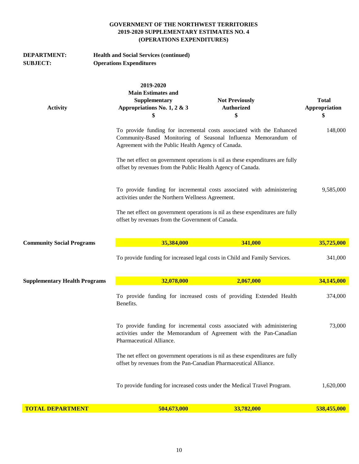| <b>DEPARTMENT:</b><br><b>SUBJECT:</b> | <b>Health and Social Services (continued)</b><br><b>Operations Expenditures</b>              |                                                                                                                                                                                               |                                     |  |
|---------------------------------------|----------------------------------------------------------------------------------------------|-----------------------------------------------------------------------------------------------------------------------------------------------------------------------------------------------|-------------------------------------|--|
| <b>Activity</b>                       | 2019-2020<br><b>Main Estimates and</b><br>Supplementary<br>Appropriations No. 1, 2 & 3<br>\$ | <b>Not Previously</b><br><b>Authorized</b><br>\$                                                                                                                                              | <b>Total</b><br>Appropriation<br>\$ |  |
|                                       |                                                                                              | To provide funding for incremental costs associated with the Enhanced<br>Community-Based Monitoring of Seasonal Influenza Memorandum of<br>Agreement with the Public Health Agency of Canada. |                                     |  |
|                                       | offset by revenues from the Public Health Agency of Canada.                                  | The net effect on government operations is nil as these expenditures are fully                                                                                                                |                                     |  |
|                                       |                                                                                              | To provide funding for incremental costs associated with administering<br>activities under the Northern Wellness Agreement.                                                                   |                                     |  |
|                                       | offset by revenues from the Government of Canada.                                            | The net effect on government operations is nil as these expenditures are fully                                                                                                                |                                     |  |
| <b>Community Social Programs</b>      | 35,384,000                                                                                   | 341,000                                                                                                                                                                                       | 35,725,000                          |  |
|                                       |                                                                                              | To provide funding for increased legal costs in Child and Family Services.                                                                                                                    | 341,000                             |  |
| <b>Supplementary Health Programs</b>  | 32,078,000                                                                                   | 2,067,000                                                                                                                                                                                     | 34,145,000                          |  |
|                                       | Benefits.                                                                                    | To provide funding for increased costs of providing Extended Health                                                                                                                           | 374,000                             |  |
|                                       | Pharmaceutical Alliance.                                                                     | To provide funding for incremental costs associated with administering<br>activities under the Memorandum of Agreement with the Pan-Canadian                                                  | 73,000                              |  |
|                                       | offset by revenues from the Pan-Canadian Pharmaceutical Alliance.                            | The net effect on government operations is nil as these expenditures are fully                                                                                                                |                                     |  |
|                                       |                                                                                              | To provide funding for increased costs under the Medical Travel Program.                                                                                                                      | 1,620,000                           |  |
| <b>TOTAL DEPARTMENT</b>               | 504,673,000                                                                                  | 33,782,000                                                                                                                                                                                    | 538,455,000                         |  |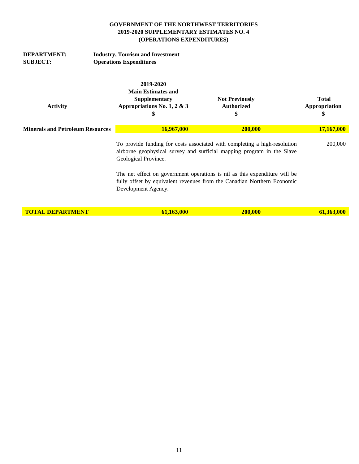| <b>DEPARTMENT:</b><br><b>SUBJECT:</b>   | <b>Industry, Tourism and Investment</b><br><b>Operations Expenditures</b>                    |                                                                                                                                                                                                                                                                                                              |                                     |  |  |
|-----------------------------------------|----------------------------------------------------------------------------------------------|--------------------------------------------------------------------------------------------------------------------------------------------------------------------------------------------------------------------------------------------------------------------------------------------------------------|-------------------------------------|--|--|
| <b>Activity</b>                         | 2019-2020<br><b>Main Estimates and</b><br>Supplementary<br>Appropriations No. 1, 2 & 3<br>\$ | <b>Not Previously</b><br><b>Authorized</b><br>\$                                                                                                                                                                                                                                                             | <b>Total</b><br>Appropriation<br>\$ |  |  |
| <b>Minerals and Petroleum Resources</b> | 16,967,000                                                                                   | 200,000                                                                                                                                                                                                                                                                                                      | 17,167,000                          |  |  |
|                                         | Geological Province.                                                                         | To provide funding for costs associated with completing a high-resolution<br>airborne geophysical survey and surficial mapping program in the Slave<br>The net effect on government operations is nil as this expenditure will be<br>fully offset by equivalent revenues from the Canadian Northern Economic | 200,000                             |  |  |
|                                         | Development Agency.                                                                          |                                                                                                                                                                                                                                                                                                              |                                     |  |  |
| <b>TOTAL DEPARTMENT</b>                 | 61,163,000                                                                                   | 200,000                                                                                                                                                                                                                                                                                                      | 61,363,000                          |  |  |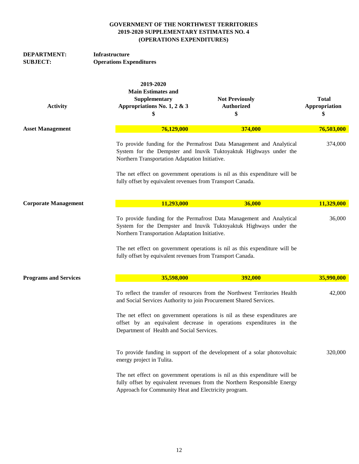| <b>DEPARTMENT:</b><br><b>SUBJECT:</b> | Infrastructure<br><b>Operations Expenditures</b>                                             |                                                                                                                                                                                                                                        |                               |  |
|---------------------------------------|----------------------------------------------------------------------------------------------|----------------------------------------------------------------------------------------------------------------------------------------------------------------------------------------------------------------------------------------|-------------------------------|--|
| <b>Activity</b>                       | 2019-2020<br><b>Main Estimates and</b><br>Supplementary<br>Appropriations No. 1, 2 & 3<br>\$ | <b>Not Previously</b><br><b>Authorized</b><br>\$                                                                                                                                                                                       | <b>Total</b><br>Appropriation |  |
| <b>Asset Management</b>               | 76,129,000                                                                                   | 374,000                                                                                                                                                                                                                                | 76,503,000                    |  |
|                                       | Northern Transportation Adaptation Initiative.                                               | To provide funding for the Permafrost Data Management and Analytical<br>System for the Dempster and Inuvik Tuktoyaktuk Highways under the                                                                                              | 374,000                       |  |
|                                       | fully offset by equivalent revenues from Transport Canada.                                   | The net effect on government operations is nil as this expenditure will be                                                                                                                                                             |                               |  |
| <b>Corporate Management</b>           | 11,293,000                                                                                   | 36,000                                                                                                                                                                                                                                 | 11,329,000                    |  |
|                                       |                                                                                              | To provide funding for the Permafrost Data Management and Analytical<br>System for the Dempster and Inuvik Tuktoyaktuk Highways under the<br>Northern Transportation Adaptation Initiative.                                            |                               |  |
|                                       | fully offset by equivalent revenues from Transport Canada.                                   | The net effect on government operations is nil as this expenditure will be                                                                                                                                                             |                               |  |
| <b>Programs and Services</b>          | 35,598,000                                                                                   | 392,000                                                                                                                                                                                                                                | 35,990,000                    |  |
|                                       |                                                                                              | To reflect the transfer of resources from the Northwest Territories Health<br>42,000<br>and Social Services Authority to join Procurement Shared Services.<br>The net effect on government operations is nil as these expenditures are |                               |  |
|                                       | Department of Health and Social Services.                                                    | offset by an equivalent decrease in operations expenditures in the                                                                                                                                                                     |                               |  |
|                                       | energy project in Tulita.                                                                    | To provide funding in support of the development of a solar photovoltaic                                                                                                                                                               | 320,000                       |  |
|                                       | Approach for Community Heat and Electricity program.                                         | The net effect on government operations is nil as this expenditure will be<br>fully offset by equivalent revenues from the Northern Responsible Energy                                                                                 |                               |  |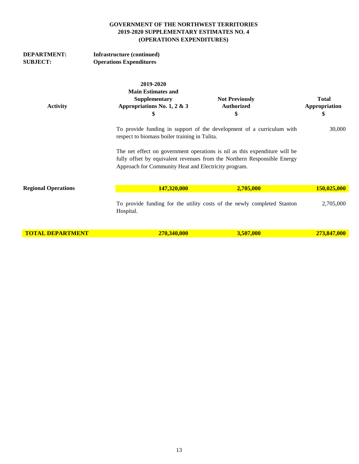| <b>DEPARTMENT:</b><br><b>SUBJECT:</b> | <b>Infrastructure (continued)</b><br><b>Operations Expenditures</b>                          |                                                                                                                                                        |                                     |
|---------------------------------------|----------------------------------------------------------------------------------------------|--------------------------------------------------------------------------------------------------------------------------------------------------------|-------------------------------------|
| <b>Activity</b>                       | 2019-2020<br><b>Main Estimates and</b><br>Supplementary<br>Appropriations No. 1, 2 & 3<br>\$ | <b>Not Previously</b><br><b>Authorized</b><br>\$                                                                                                       | <b>Total</b><br>Appropriation<br>\$ |
|                                       | respect to biomass boiler training in Tulita.                                                | To provide funding in support of the development of a curriculum with                                                                                  | 30,000                              |
|                                       | Approach for Community Heat and Electricity program.                                         | The net effect on government operations is nil as this expenditure will be<br>fully offset by equivalent revenues from the Northern Responsible Energy |                                     |
| <b>Regional Operations</b>            | 147,320,000                                                                                  | 2,705,000                                                                                                                                              | 150,025,000                         |
|                                       | Hospital.                                                                                    | To provide funding for the utility costs of the newly completed Stanton                                                                                | 2,705,000                           |
| <b>TOTAL DEPARTMENT</b>               | 270,340,000                                                                                  | 3,507,000                                                                                                                                              | 273,847,000                         |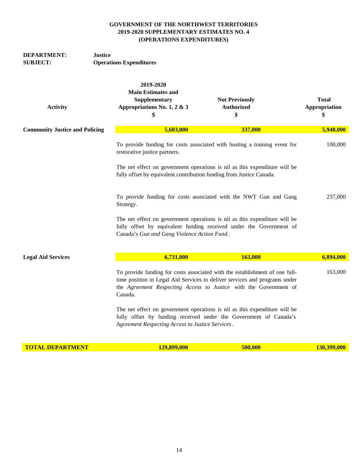| <b>DEPARTMENT:</b> | Justice                        |
|--------------------|--------------------------------|
| <b>SUBJECT:</b>    | <b>Operations Expenditures</b> |

| <b>Activity</b>                       | 2019-2020<br><b>Main Estimates and</b><br>Supplementary<br>Appropriations No. 1, 2 & 3<br>\$                                                                                                                                              | <b>Not Previously</b><br><b>Authorized</b><br>\$                                                                                                | <b>Total</b><br><b>Appropriation</b><br>\$ |
|---------------------------------------|-------------------------------------------------------------------------------------------------------------------------------------------------------------------------------------------------------------------------------------------|-------------------------------------------------------------------------------------------------------------------------------------------------|--------------------------------------------|
| <b>Community Justice and Policing</b> | 5,603,000                                                                                                                                                                                                                                 | 337,000                                                                                                                                         | 5,940,000                                  |
|                                       | To provide funding for costs associated with hosting a training event for<br>restorative justice partners.                                                                                                                                | 100,000                                                                                                                                         |                                            |
|                                       | The net effect on government operations is nil as this expenditure will be<br>fully offset by equivalent contribution funding from Justice Canada.                                                                                        |                                                                                                                                                 |                                            |
|                                       | Strategy.                                                                                                                                                                                                                                 | To provide funding for costs associated with the NWT Gun and Gang                                                                               | 237,000                                    |
|                                       | The net effect on government operations is nil as this expenditure will be<br>fully offset by equivalent funding received under the Government of<br>Canada's Gun and Gang Violence Action Fund.                                          |                                                                                                                                                 |                                            |
| <b>Legal Aid Services</b>             | 6,731,000                                                                                                                                                                                                                                 | 163,000                                                                                                                                         | 6,894,000                                  |
|                                       | To provide funding for costs associated with the establishment of one full-<br>time position in Legal Aid Services to deliver services and programs under<br>the Agreement Respecting Access to Justice with the Government of<br>Canada. | 163,000                                                                                                                                         |                                            |
|                                       | Agreement Respecting Access to Justice Services.                                                                                                                                                                                          | The net effect on government operations is nil as this expenditure will be<br>fully offset by funding received under the Government of Canada's |                                            |

**TOTAL DEPARTMENT 129,899,000 500,000 500,000 130,399,000**